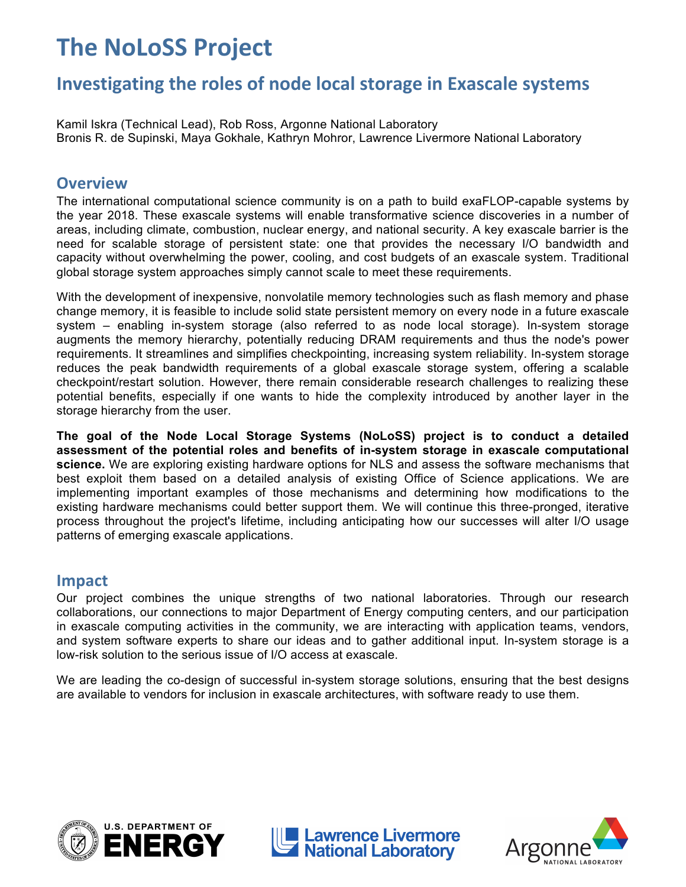# **The
NoLoSS
Project**

# **Investigating
the
roles
of
node
local
storage
in
Exascale
systems**

Kamil Iskra (Technical Lead), Rob Ross, Argonne National Laboratory Bronis R. de Supinski, Maya Gokhale, Kathryn Mohror, Lawrence Livermore National Laboratory

### **Overview**

The international computational science community is on a path to build exaFLOP-capable systems by the year 2018. These exascale systems will enable transformative science discoveries in a number of areas, including climate, combustion, nuclear energy, and national security. A key exascale barrier is the need for scalable storage of persistent state: one that provides the necessary I/O bandwidth and capacity without overwhelming the power, cooling, and cost budgets of an exascale system. Traditional global storage system approaches simply cannot scale to meet these requirements.

With the development of inexpensive, nonvolatile memory technologies such as flash memory and phase change memory, it is feasible to include solid state persistent memory on every node in a future exascale system – enabling in-system storage (also referred to as node local storage). In-system storage augments the memory hierarchy, potentially reducing DRAM requirements and thus the node's power requirements. It streamlines and simplifies checkpointing, increasing system reliability. In-system storage reduces the peak bandwidth requirements of a global exascale storage system, offering a scalable checkpoint/restart solution. However, there remain considerable research challenges to realizing these potential benefits, especially if one wants to hide the complexity introduced by another layer in the storage hierarchy from the user.

**The goal of the Node Local Storage Systems (NoLoSS) project is to conduct a detailed assessment of the potential roles and benefits of in-system storage in exascale computational science.** We are exploring existing hardware options for NLS and assess the software mechanisms that best exploit them based on a detailed analysis of existing Office of Science applications. We are implementing important examples of those mechanisms and determining how modifications to the existing hardware mechanisms could better support them. We will continue this three-pronged, iterative process throughout the project's lifetime, including anticipating how our successes will alter I/O usage patterns of emerging exascale applications.

#### **Impact**

Our project combines the unique strengths of two national laboratories. Through our research collaborations, our connections to major Department of Energy computing centers, and our participation in exascale computing activities in the community, we are interacting with application teams, vendors, and system software experts to share our ideas and to gather additional input. In-system storage is a low-risk solution to the serious issue of I/O access at exascale.

We are leading the co-design of successful in-system storage solutions, ensuring that the best designs are available to vendors for inclusion in exascale architectures, with software ready to use them.